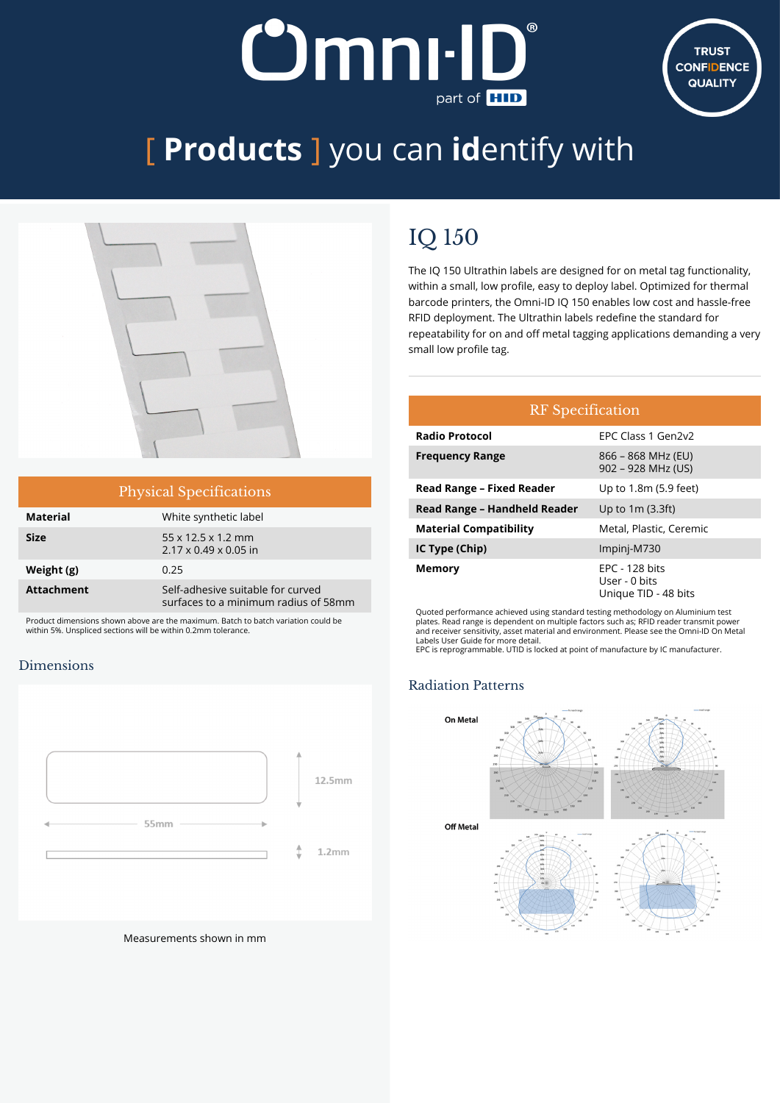# **Dmnı-II** part of **HID**



## [ **Products** ] you can **id**entify with



| <b>Physical Specifications</b> |                                                                           |  |
|--------------------------------|---------------------------------------------------------------------------|--|
| <b>Material</b>                | White synthetic label                                                     |  |
| <b>Size</b>                    | $55 \times 12.5 \times 1.2$ mm<br>$2.17 \times 0.49 \times 0.05$ in       |  |
| Weight (g)                     | 0.25                                                                      |  |
| <b>Attachment</b>              | Self-adhesive suitable for curved<br>surfaces to a minimum radius of 58mm |  |

Product dimensions shown above are the maximum. Batch to batch variation could be within 5%. Unspliced sections will be within 0.2mm tolerance.

#### Dimensions



Measurements shown in mm

### IQ 150

The IQ 150 Ultrathin labels are designed for on metal tag functionality, within a small, low profile, easy to deploy label. Optimized for thermal barcode printers, the Omni-ID IQ 150 enables low cost and hassle-free RFID deployment. The Ultrathin labels redefine the standard for repeatability for on and off metal tagging applications demanding a very small low profile tag.

| <b>RF</b> Specification          |                                                           |  |  |
|----------------------------------|-----------------------------------------------------------|--|--|
| <b>Radio Protocol</b>            | EPC Class 1 Gen2v2                                        |  |  |
| <b>Frequency Range</b>           | 866 – 868 MHz (EU)<br>902 - 928 MHz (US)                  |  |  |
| <b>Read Range - Fixed Reader</b> | Up to 1.8m (5.9 feet)                                     |  |  |
| Read Range - Handheld Reader     | Up to $1m(3.3ft)$                                         |  |  |
| <b>Material Compatibility</b>    | Metal, Plastic, Ceremic                                   |  |  |
| IC Type (Chip)                   | Impinj-M730                                               |  |  |
| Memory                           | $EPC - 128$ bits<br>User - 0 bits<br>Unique TID - 48 bits |  |  |

Quoted performance achieved using standard testing methodology on Aluminium test plates. Read range is dependent on multiple factors such as; RFID reader transmit power and receiver sensitivity, asset material and environment. Please see the Omni-ID On Metal Labels User Guide for more detail.

EPC is reprogrammable. UTID is locked at point of manufacture by IC manufacturer.

#### Radiation Patterns